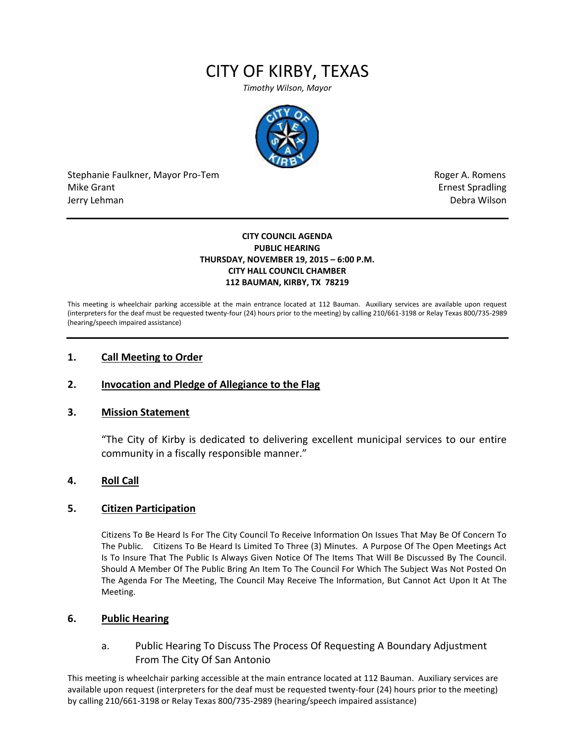# CITY OF KIRBY, TEXAS

*Timothy Wilson, Mayor*



Stephanie Faulkner, Mayor Pro-Tem **Roger A. Romens** and The Roger A. Romens and The Roger A. Romens Mike Grant **Example 2018** Spradling School and Spradling School and Spradling School and Spradling School and Spradling School and Spradling School and Spradling School and Spradling School and Spradling School and Spradli Jerry Lehman Debra Wilson (2008) and the state of the state of the state of the state of the state of the state of the state of the state of the state of the state of the state of the state of the state of the state of the

#### **CITY COUNCIL AGENDA PUBLIC HEARING THURSDAY, NOVEMBER 19, 2015 – 6:00 P.M. CITY HALL COUNCIL CHAMBER 112 BAUMAN, KIRBY, TX 78219**

This meeting is wheelchair parking accessible at the main entrance located at 112 Bauman. Auxiliary services are available upon request (interpreters for the deaf must be requested twenty-four (24) hours prior to the meeting) by calling 210/661-3198 or Relay Texas 800/735-2989 (hearing/speech impaired assistance)

## **1. Call Meeting to Order**

## **2. Invocation and Pledge of Allegiance to the Flag**

#### **3. Mission Statement**

"The City of Kirby is dedicated to delivering excellent municipal services to our entire community in a fiscally responsible manner."

#### **4. Roll Call**

#### **5. Citizen Participation**

Citizens To Be Heard Is For The City Council To Receive Information On Issues That May Be Of Concern To The Public. Citizens To Be Heard Is Limited To Three (3) Minutes. A Purpose Of The Open Meetings Act Is To Insure That The Public Is Always Given Notice Of The Items That Will Be Discussed By The Council. Should A Member Of The Public Bring An Item To The Council For Which The Subject Was Not Posted On The Agenda For The Meeting, The Council May Receive The Information, But Cannot Act Upon It At The Meeting.

#### **6. Public Hearing**

a. Public Hearing To Discuss The Process Of Requesting A Boundary Adjustment From The City Of San Antonio

This meeting is wheelchair parking accessible at the main entrance located at 112 Bauman. Auxiliary services are available upon request (interpreters for the deaf must be requested twenty-four (24) hours prior to the meeting) by calling 210/661-3198 or Relay Texas 800/735-2989 (hearing/speech impaired assistance)